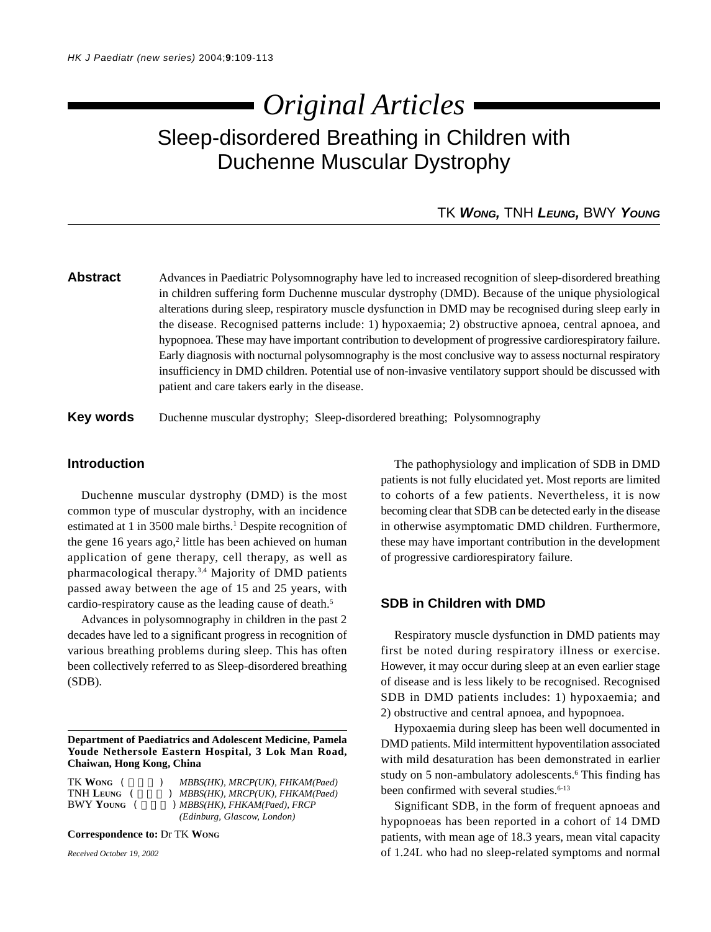# Sleep-disordered Breathing in Children with Duchenne Muscular Dystrophy *Original Articles*

# TK *WONG,* TNH *LEUNG,* BWY *YOUNG*

**Abstract** Advances in Paediatric Polysomnography have led to increased recognition of sleep-disordered breathing in children suffering form Duchenne muscular dystrophy (DMD). Because of the unique physiological alterations during sleep, respiratory muscle dysfunction in DMD may be recognised during sleep early in the disease. Recognised patterns include: 1) hypoxaemia; 2) obstructive apnoea, central apnoea, and hypopnoea. These may have important contribution to development of progressive cardiorespiratory failure. Early diagnosis with nocturnal polysomnography is the most conclusive way to assess nocturnal respiratory insufficiency in DMD children. Potential use of non-invasive ventilatory support should be discussed with patient and care takers early in the disease.

**Key words** Duchenne muscular dystrophy; Sleep-disordered breathing; Polysomnography

## **Introduction**

Duchenne muscular dystrophy (DMD) is the most common type of muscular dystrophy, with an incidence estimated at 1 in 3500 male births.<sup>1</sup> Despite recognition of the gene 16 years ago,<sup>2</sup> little has been achieved on human application of gene therapy, cell therapy, as well as pharmacological therapy.3,4 Majority of DMD patients passed away between the age of 15 and 25 years, with cardio-respiratory cause as the leading cause of death.<sup>5</sup>

Advances in polysomnography in children in the past 2 decades have led to a significant progress in recognition of various breathing problems during sleep. This has often been collectively referred to as Sleep-disordered breathing (SDB).

**Department of Paediatrics and Adolescent Medicine, Pamela Youde Nethersole Eastern Hospital, 3 Lok Man Road, Chaiwan, Hong Kong, China**

| TK Wong     | MBBS(HK), MRCP(UK), FHKAM(Paed)   |
|-------------|-----------------------------------|
| TNH Leung   | ) MBBS(HK), MRCP(UK), FHKAM(Paed) |
| BWY YOUNG ( | ) MBBS(HK), FHKAM(Paed), FRCP     |
|             | (Edinburg, Glascow, London)       |

**Correspondence to:** Dr TK **WONG**

*Received October 19, 2002*

The pathophysiology and implication of SDB in DMD patients is not fully elucidated yet. Most reports are limited to cohorts of a few patients. Nevertheless, it is now becoming clear that SDB can be detected early in the disease in otherwise asymptomatic DMD children. Furthermore, these may have important contribution in the development of progressive cardiorespiratory failure.

### **SDB in Children with DMD**

Respiratory muscle dysfunction in DMD patients may first be noted during respiratory illness or exercise. However, it may occur during sleep at an even earlier stage of disease and is less likely to be recognised. Recognised SDB in DMD patients includes: 1) hypoxaemia; and 2) obstructive and central apnoea, and hypopnoea.

Hypoxaemia during sleep has been well documented in DMD patients. Mild intermittent hypoventilation associated with mild desaturation has been demonstrated in earlier study on 5 non-ambulatory adolescents.<sup>6</sup> This finding has been confirmed with several studies.<sup>6-13</sup>

Significant SDB, in the form of frequent apnoeas and hypopnoeas has been reported in a cohort of 14 DMD patients, with mean age of 18.3 years, mean vital capacity of 1.24L who had no sleep-related symptoms and normal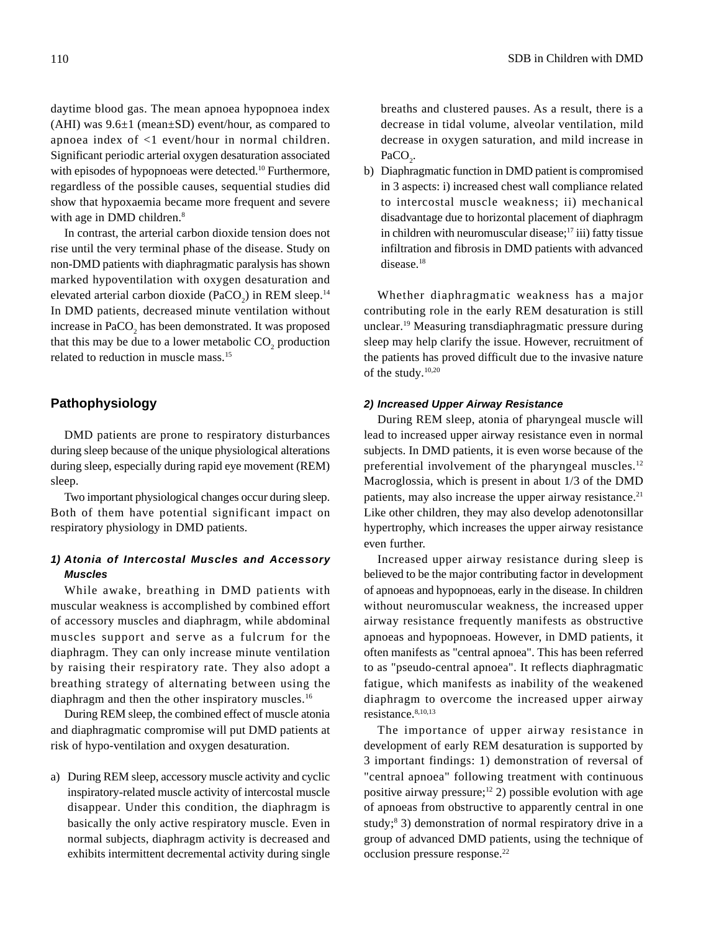daytime blood gas. The mean apnoea hypopnoea index (AHI) was  $9.6\pm1$  (mean $\pm$ SD) event/hour, as compared to apnoea index of <1 event/hour in normal children. Significant periodic arterial oxygen desaturation associated with episodes of hypopnoeas were detected.<sup>10</sup> Furthermore, regardless of the possible causes, sequential studies did show that hypoxaemia became more frequent and severe with age in DMD children.<sup>8</sup>

In contrast, the arterial carbon dioxide tension does not rise until the very terminal phase of the disease. Study on non-DMD patients with diaphragmatic paralysis has shown marked hypoventilation with oxygen desaturation and elevated arterial carbon dioxide (PaCO<sub>2</sub>) in REM sleep.<sup>14</sup> In DMD patients, decreased minute ventilation without increase in  $PaCO<sub>2</sub>$  has been demonstrated. It was proposed that this may be due to a lower metabolic  $CO_2$  production related to reduction in muscle mass.15

# **Pathophysiology**

DMD patients are prone to respiratory disturbances during sleep because of the unique physiological alterations during sleep, especially during rapid eye movement (REM) sleep.

Two important physiological changes occur during sleep. Both of them have potential significant impact on respiratory physiology in DMD patients.

# *1) Atonia of Intercostal Muscles and Accessory Muscles*

While awake, breathing in DMD patients with muscular weakness is accomplished by combined effort of accessory muscles and diaphragm, while abdominal muscles support and serve as a fulcrum for the diaphragm. They can only increase minute ventilation by raising their respiratory rate. They also adopt a breathing strategy of alternating between using the diaphragm and then the other inspiratory muscles.<sup>16</sup>

During REM sleep, the combined effect of muscle atonia and diaphragmatic compromise will put DMD patients at risk of hypo-ventilation and oxygen desaturation.

a) During REM sleep, accessory muscle activity and cyclic inspiratory-related muscle activity of intercostal muscle disappear. Under this condition, the diaphragm is basically the only active respiratory muscle. Even in normal subjects, diaphragm activity is decreased and exhibits intermittent decremental activity during single

breaths and clustered pauses. As a result, there is a decrease in tidal volume, alveolar ventilation, mild decrease in oxygen saturation, and mild increase in  $PaCO<sub>2</sub>$ .

b) Diaphragmatic function in DMD patient is compromised in 3 aspects: i) increased chest wall compliance related to intercostal muscle weakness; ii) mechanical disadvantage due to horizontal placement of diaphragm in children with neuromuscular disease;<sup>17</sup> iii) fatty tissue infiltration and fibrosis in DMD patients with advanced disease.<sup>18</sup>

Whether diaphragmatic weakness has a major contributing role in the early REM desaturation is still unclear.19 Measuring transdiaphragmatic pressure during sleep may help clarify the issue. However, recruitment of the patients has proved difficult due to the invasive nature of the study.10,20

#### *2) Increased Upper Airway Resistance*

During REM sleep, atonia of pharyngeal muscle will lead to increased upper airway resistance even in normal subjects. In DMD patients, it is even worse because of the preferential involvement of the pharyngeal muscles.<sup>12</sup> Macroglossia, which is present in about 1/3 of the DMD patients, may also increase the upper airway resistance.<sup>21</sup> Like other children, they may also develop adenotonsillar hypertrophy, which increases the upper airway resistance even further.

Increased upper airway resistance during sleep is believed to be the major contributing factor in development of apnoeas and hypopnoeas, early in the disease. In children without neuromuscular weakness, the increased upper airway resistance frequently manifests as obstructive apnoeas and hypopnoeas. However, in DMD patients, it often manifests as "central apnoea". This has been referred to as "pseudo-central apnoea". It reflects diaphragmatic fatigue, which manifests as inability of the weakened diaphragm to overcome the increased upper airway resistance.8,10,13

The importance of upper airway resistance in development of early REM desaturation is supported by 3 important findings: 1) demonstration of reversal of "central apnoea" following treatment with continuous positive airway pressure; $12$  2) possible evolution with age of apnoeas from obstructive to apparently central in one study;<sup>8</sup> 3) demonstration of normal respiratory drive in a group of advanced DMD patients, using the technique of occlusion pressure response.22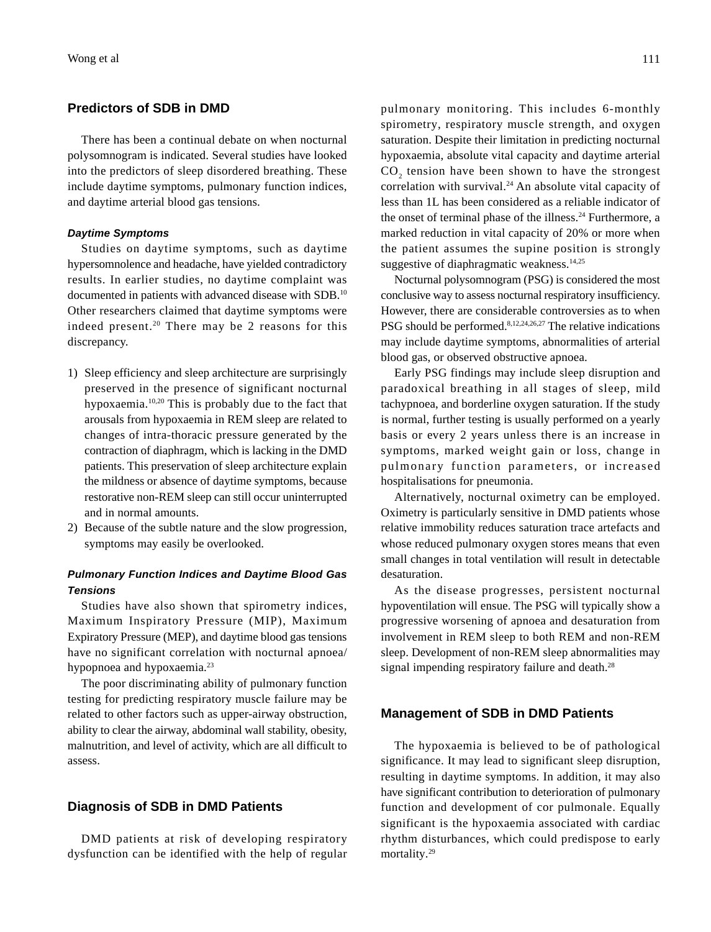# **Predictors of SDB in DMD**

There has been a continual debate on when nocturnal polysomnogram is indicated. Several studies have looked into the predictors of sleep disordered breathing. These include daytime symptoms, pulmonary function indices, and daytime arterial blood gas tensions.

#### *Daytime Symptoms*

Studies on daytime symptoms, such as daytime hypersomnolence and headache, have yielded contradictory results. In earlier studies, no daytime complaint was documented in patients with advanced disease with SDB.10 Other researchers claimed that daytime symptoms were indeed present.<sup>20</sup> There may be 2 reasons for this discrepancy.

- 1) Sleep efficiency and sleep architecture are surprisingly preserved in the presence of significant nocturnal hypoxaemia.10,20 This is probably due to the fact that arousals from hypoxaemia in REM sleep are related to changes of intra-thoracic pressure generated by the contraction of diaphragm, which is lacking in the DMD patients. This preservation of sleep architecture explain the mildness or absence of daytime symptoms, because restorative non-REM sleep can still occur uninterrupted and in normal amounts.
- 2) Because of the subtle nature and the slow progression, symptoms may easily be overlooked.

# *Pulmonary Function Indices and Daytime Blood Gas Tensions*

Studies have also shown that spirometry indices, Maximum Inspiratory Pressure (MIP), Maximum Expiratory Pressure (MEP), and daytime blood gas tensions have no significant correlation with nocturnal apnoea/ hypopnoea and hypoxaemia.<sup>23</sup>

The poor discriminating ability of pulmonary function testing for predicting respiratory muscle failure may be related to other factors such as upper-airway obstruction, ability to clear the airway, abdominal wall stability, obesity, malnutrition, and level of activity, which are all difficult to assess.

### **Diagnosis of SDB in DMD Patients**

DMD patients at risk of developing respiratory dysfunction can be identified with the help of regular pulmonary monitoring. This includes 6-monthly spirometry, respiratory muscle strength, and oxygen saturation. Despite their limitation in predicting nocturnal hypoxaemia, absolute vital capacity and daytime arterial  $CO<sub>2</sub>$  tension have been shown to have the strongest correlation with survival.<sup>24</sup> An absolute vital capacity of less than 1L has been considered as a reliable indicator of the onset of terminal phase of the illness.<sup>24</sup> Furthermore, a marked reduction in vital capacity of 20% or more when the patient assumes the supine position is strongly suggestive of diaphragmatic weakness.<sup>14,25</sup>

Nocturnal polysomnogram (PSG) is considered the most conclusive way to assess nocturnal respiratory insufficiency. However, there are considerable controversies as to when PSG should be performed.<sup>8,12,24,26,27</sup> The relative indications may include daytime symptoms, abnormalities of arterial blood gas, or observed obstructive apnoea.

Early PSG findings may include sleep disruption and paradoxical breathing in all stages of sleep, mild tachypnoea, and borderline oxygen saturation. If the study is normal, further testing is usually performed on a yearly basis or every 2 years unless there is an increase in symptoms, marked weight gain or loss, change in pulmonary function parameters, or increased hospitalisations for pneumonia.

Alternatively, nocturnal oximetry can be employed. Oximetry is particularly sensitive in DMD patients whose relative immobility reduces saturation trace artefacts and whose reduced pulmonary oxygen stores means that even small changes in total ventilation will result in detectable desaturation.

As the disease progresses, persistent nocturnal hypoventilation will ensue. The PSG will typically show a progressive worsening of apnoea and desaturation from involvement in REM sleep to both REM and non-REM sleep. Development of non-REM sleep abnormalities may signal impending respiratory failure and death.<sup>28</sup>

# **Management of SDB in DMD Patients**

The hypoxaemia is believed to be of pathological significance. It may lead to significant sleep disruption, resulting in daytime symptoms. In addition, it may also have significant contribution to deterioration of pulmonary function and development of cor pulmonale. Equally significant is the hypoxaemia associated with cardiac rhythm disturbances, which could predispose to early mortality.<sup>29</sup>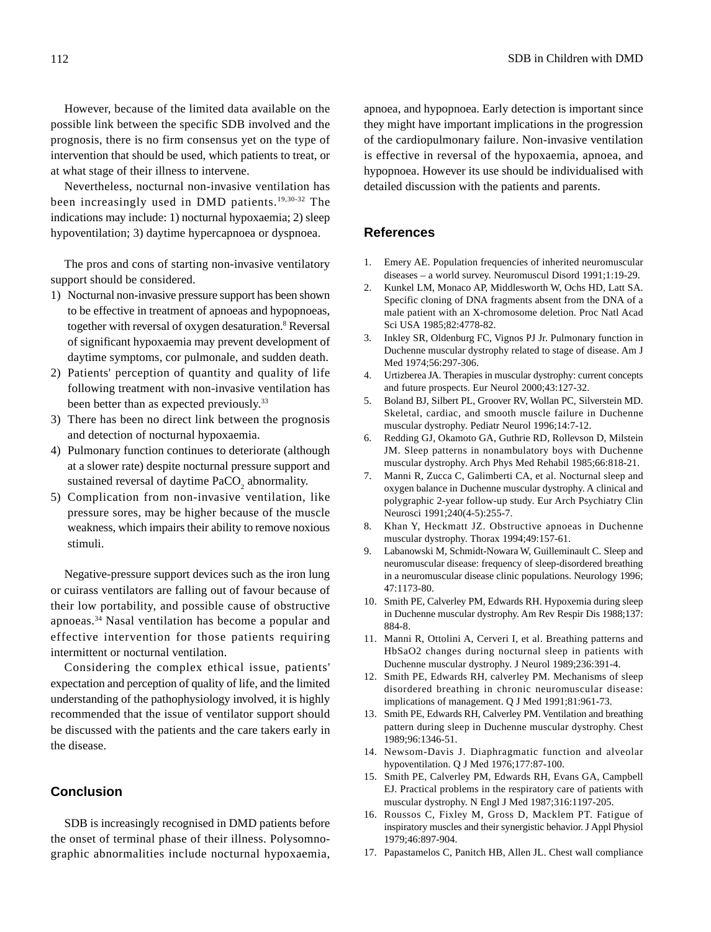However, because of the limited data available on the possible link between the specific SDB involved and the prognosis, there is no firm consensus yet on the type of intervention that should be used, which patients to treat, or at what stage of their illness to intervene.

Nevertheless, nocturnal non-invasive ventilation has been increasingly used in DMD patients.19,30-32 The indications may include: 1) nocturnal hypoxaemia; 2) sleep hypoventilation; 3) daytime hypercapnoea or dyspnoea.

The pros and cons of starting non-invasive ventilatory support should be considered.

- 1) Nocturnal non-invasive pressure support has been shown to be effective in treatment of apnoeas and hypopnoeas, together with reversal of oxygen desaturation.<sup>8</sup> Reversal of significant hypoxaemia may prevent development of daytime symptoms, cor pulmonale, and sudden death.
- 2) Patients' perception of quantity and quality of life following treatment with non-invasive ventilation has been better than as expected previously.<sup>33</sup>
- 3) There has been no direct link between the prognosis and detection of nocturnal hypoxaemia.
- 4) Pulmonary function continues to deteriorate (although at a slower rate) despite nocturnal pressure support and sustained reversal of daytime  $PaCO_{2}$  abnormality.
- 5) Complication from non-invasive ventilation, like pressure sores, may be higher because of the muscle weakness, which impairs their ability to remove noxious stimuli.

Negative-pressure support devices such as the iron lung or cuirass ventilators are falling out of favour because of their low portability, and possible cause of obstructive apnoeas.34 Nasal ventilation has become a popular and effective intervention for those patients requiring intermittent or nocturnal ventilation.

Considering the complex ethical issue, patients' expectation and perception of quality of life, and the limited understanding of the pathophysiology involved, it is highly recommended that the issue of ventilator support should be discussed with the patients and the care takers early in the disease.

## **Conclusion**

SDB is increasingly recognised in DMD patients before the onset of terminal phase of their illness. Polysomnographic abnormalities include nocturnal hypoxaemia,

apnoea, and hypopnoea. Early detection is important since they might have important implications in the progression of the cardiopulmonary failure. Non-invasive ventilation is effective in reversal of the hypoxaemia, apnoea, and hypopnoea. However its use should be individualised with detailed discussion with the patients and parents.

# **References**

- 1. Emery AE. Population frequencies of inherited neuromuscular diseases – a world survey. Neuromuscul Disord 1991;1:19-29.
- 2. Kunkel LM, Monaco AP, Middlesworth W, Ochs HD, Latt SA. Specific cloning of DNA fragments absent from the DNA of a male patient with an X-chromosome deletion. Proc Natl Acad Sci USA 1985;82:4778-82.
- 3. Inkley SR, Oldenburg FC, Vignos PJ Jr. Pulmonary function in Duchenne muscular dystrophy related to stage of disease. Am J Med 1974;56:297-306.
- 4. Urtizberea JA. Therapies in muscular dystrophy: current concepts and future prospects. Eur Neurol 2000;43:127-32.
- 5. Boland BJ, Silbert PL, Groover RV, Wollan PC, Silverstein MD. Skeletal, cardiac, and smooth muscle failure in Duchenne muscular dystrophy. Pediatr Neurol 1996;14:7-12.
- 6. Redding GJ, Okamoto GA, Guthrie RD, Rollevson D, Milstein JM. Sleep patterns in nonambulatory boys with Duchenne muscular dystrophy. Arch Phys Med Rehabil 1985;66:818-21.
- 7. Manni R, Zucca C, Galimberti CA, et al. Nocturnal sleep and oxygen balance in Duchenne muscular dystrophy. A clinical and polygraphic 2-year follow-up study. Eur Arch Psychiatry Clin Neurosci 1991;240(4-5):255-7.
- 8. Khan Y, Heckmatt JZ. Obstructive apnoeas in Duchenne muscular dystrophy. Thorax 1994;49:157-61.
- 9. Labanowski M, Schmidt-Nowara W, Guilleminault C. Sleep and neuromuscular disease: frequency of sleep-disordered breathing in a neuromuscular disease clinic populations. Neurology 1996; 47:1173-80.
- 10. Smith PE, Calverley PM, Edwards RH. Hypoxemia during sleep in Duchenne muscular dystrophy. Am Rev Respir Dis 1988;137: 884-8.
- 11. Manni R, Ottolini A, Cerveri I, et al. Breathing patterns and HbSaO2 changes during nocturnal sleep in patients with Duchenne muscular dystrophy. J Neurol 1989;236:391-4.
- 12. Smith PE, Edwards RH, calverley PM. Mechanisms of sleep disordered breathing in chronic neuromuscular disease: implications of management. Q J Med 1991;81:961-73.
- 13. Smith PE, Edwards RH, Calverley PM. Ventilation and breathing pattern during sleep in Duchenne muscular dystrophy. Chest 1989;96:1346-51.
- 14. Newsom-Davis J. Diaphragmatic function and alveolar hypoventilation. Q J Med 1976;177:87-100.
- 15. Smith PE, Calverley PM, Edwards RH, Evans GA, Campbell EJ. Practical problems in the respiratory care of patients with muscular dystrophy. N Engl J Med 1987;316:1197-205.
- 16. Roussos C, Fixley M, Gross D, Macklem PT. Fatigue of inspiratory muscles and their synergistic behavior. J Appl Physiol 1979;46:897-904.
- 17. Papastamelos C, Panitch HB, Allen JL. Chest wall compliance